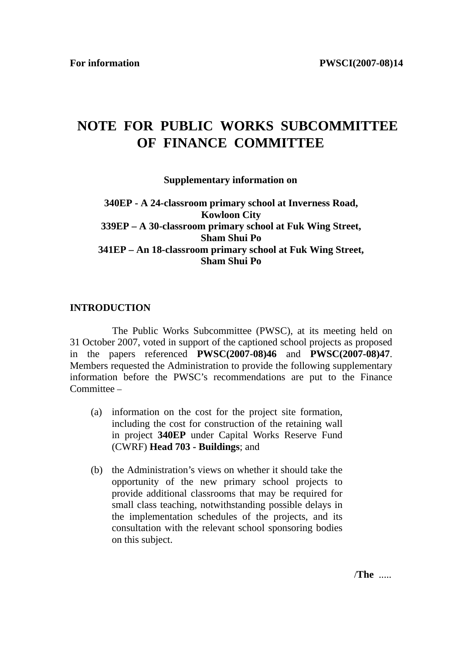# **NOTE FOR PUBLIC WORKS SUBCOMMITTEE OF FINANCE COMMITTEE**

#### **Supplementary information on**

# **340EP - A 24-classroom primary school at Inverness Road, Kowloon City 339EP – A 30-classroom primary school at Fuk Wing Street, Sham Shui Po 341EP – An 18-classroom primary school at Fuk Wing Street, Sham Shui Po**

#### **INTRODUCTION**

 The Public Works Subcommittee (PWSC), at its meeting held on 31 October 2007, voted in support of the captioned school projects as proposed in the papers referenced **PWSC(2007-08)46** and **PWSC(2007-08)47**. Members requested the Administration to provide the following supplementary information before the PWSC's recommendations are put to the Finance Committee –

- (a) information on the cost for the project site formation, including the cost for construction of the retaining wall in project **340EP** under Capital Works Reserve Fund (CWRF) **Head 703 - Buildings**; and
- (b) the Administration's views on whether it should take the opportunity of the new primary school projects to provide additional classrooms that may be required for small class teaching, notwithstanding possible delays in the implementation schedules of the projects, and its consultation with the relevant school sponsoring bodies on this subject.

/**The** .....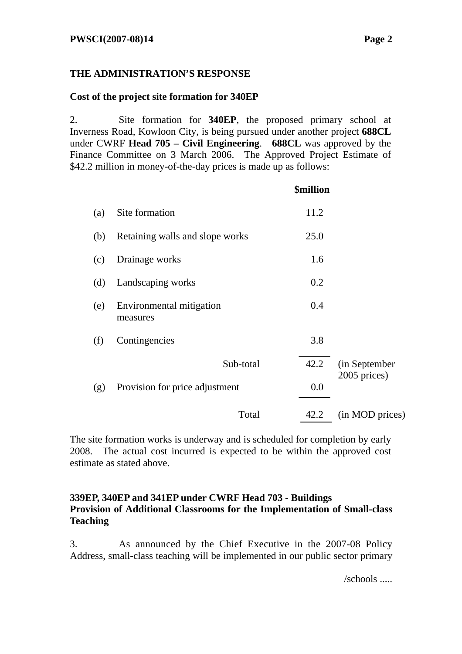# **THE ADMINISTRATION'S RESPONSE**

# **Cost of the project site formation for 340EP**

2. Site formation for **340EP**, the proposed primary school at Inverness Road, Kowloon City, is being pursued under another project **688CL**  under CWRF **Head 705 – Civil Engineering**. **688CL** was approved by the Finance Committee on 3 March 2006. The Approved Project Estimate of \$42.2 million in money-of-the-day prices is made up as follows:

|     |                                      | <b>\$million</b> |                 |
|-----|--------------------------------------|------------------|-----------------|
| (a) | Site formation                       | 11.2             |                 |
| (b) | Retaining walls and slope works      | 25.0             |                 |
| (c) | Drainage works                       | 1.6              |                 |
| (d) | Landscaping works                    | 0.2              |                 |
| (e) | Environmental mitigation<br>measures | 0.4              |                 |
| (f) | Contingencies                        | 3.8              |                 |
|     | Sub-total                            | 42.2             | (in September   |
| (g) | Provision for price adjustment       | 0.0              | 2005 prices)    |
|     | Total                                | 42.2             | (in MOD prices) |

The site formation works is underway and is scheduled for completion by early 2008. The actual cost incurred is expected to be within the approved cost estimate as stated above.

# **339EP, 340EP and 341EP under CWRF Head 703 - Buildings Provision of Additional Classrooms for the Implementation of Small-class Teaching**

3. As announced by the Chief Executive in the 2007-08 Policy Address, small-class teaching will be implemented in our public sector primary

/schools .....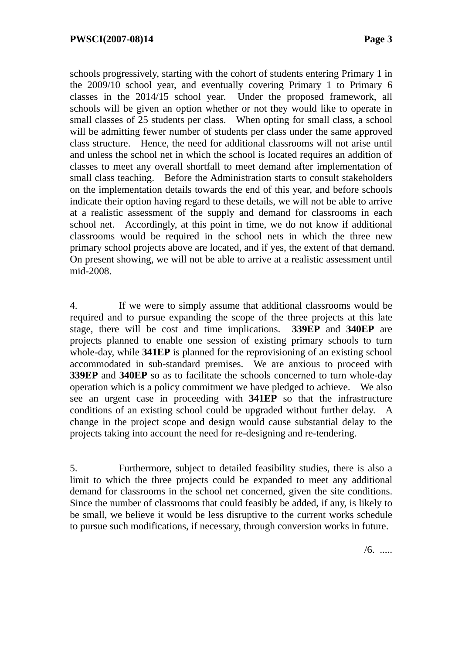schools progressively, starting with the cohort of students entering Primary 1 in the 2009/10 school year, and eventually covering Primary 1 to Primary 6 classes in the 2014/15 school year. Under the proposed framework, all schools will be given an option whether or not they would like to operate in small classes of 25 students per class. When opting for small class, a school will be admitting fewer number of students per class under the same approved class structure. Hence, the need for additional classrooms will not arise until and unless the school net in which the school is located requires an addition of classes to meet any overall shortfall to meet demand after implementation of small class teaching. Before the Administration starts to consult stakeholders on the implementation details towards the end of this year, and before schools indicate their option having regard to these details, we will not be able to arrive at a realistic assessment of the supply and demand for classrooms in each school net. Accordingly, at this point in time, we do not know if additional classrooms would be required in the school nets in which the three new primary school projects above are located, and if yes, the extent of that demand. On present showing, we will not be able to arrive at a realistic assessment until mid-2008.

4. If we were to simply assume that additional classrooms would be required and to pursue expanding the scope of the three projects at this late stage, there will be cost and time implications. **339EP** and **340EP** are projects planned to enable one session of existing primary schools to turn whole-day, while **341EP** is planned for the reprovisioning of an existing school accommodated in sub-standard premises. We are anxious to proceed with **339EP** and **340EP** so as to facilitate the schools concerned to turn whole-day operation which is a policy commitment we have pledged to achieve. We also see an urgent case in proceeding with **341EP** so that the infrastructure conditions of an existing school could be upgraded without further delay. A change in the project scope and design would cause substantial delay to the projects taking into account the need for re-designing and re-tendering.

5. Furthermore, subject to detailed feasibility studies, there is also a limit to which the three projects could be expanded to meet any additional demand for classrooms in the school net concerned, given the site conditions. Since the number of classrooms that could feasibly be added, if any, is likely to be small, we believe it would be less disruptive to the current works schedule to pursue such modifications, if necessary, through conversion works in future.

 $/6.$  .....